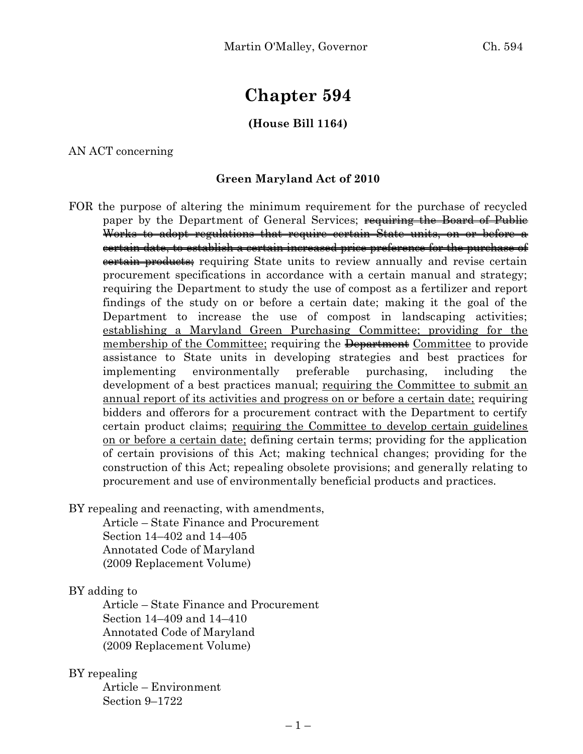# **Chapter 594**

## **(House Bill 1164)**

AN ACT concerning

#### **Green Maryland Act of 2010**

FOR the purpose of altering the minimum requirement for the purchase of recycled paper by the Department of General Services; requiring the Board of Public Works to adopt regulations that require certain State units, on or before a certain date, to establish a certain increased price preference for the purchase of eertain products; requiring State units to review annually and revise certain procurement specifications in accordance with a certain manual and strategy; requiring the Department to study the use of compost as a fertilizer and report findings of the study on or before a certain date; making it the goal of the Department to increase the use of compost in landscaping activities; establishing a Maryland Green Purchasing Committee; providing for the membership of the Committee; requiring the Department Committee to provide assistance to State units in developing strategies and best practices for implementing environmentally preferable purchasing, including the development of a best practices manual; requiring the Committee to submit an annual report of its activities and progress on or before a certain date; requiring bidders and offerors for a procurement contract with the Department to certify certain product claims; requiring the Committee to develop certain guidelines on or before a certain date; defining certain terms; providing for the application of certain provisions of this Act; making technical changes; providing for the construction of this Act; repealing obsolete provisions; and generally relating to procurement and use of environmentally beneficial products and practices.

BY repealing and reenacting, with amendments,

Article – State Finance and Procurement Section 14–402 and 14–405 Annotated Code of Maryland (2009 Replacement Volume)

BY adding to

Article – State Finance and Procurement Section 14–409 and 14–410 Annotated Code of Maryland (2009 Replacement Volume)

## BY repealing

Article – Environment Section 9–1722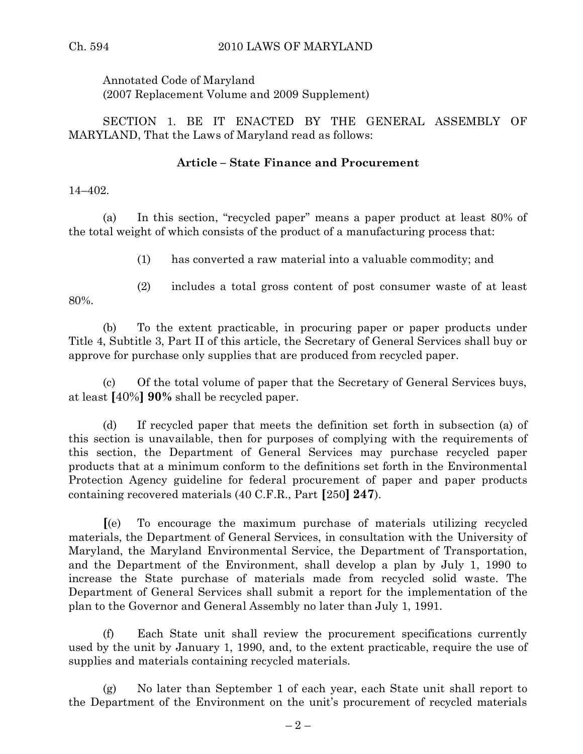Annotated Code of Maryland (2007 Replacement Volume and 2009 Supplement)

SECTION 1. BE IT ENACTED BY THE GENERAL ASSEMBLY OF MARYLAND, That the Laws of Maryland read as follows:

# **Article – State Finance and Procurement**

14–402.

(a) In this section, "recycled paper" means a paper product at least 80% of the total weight of which consists of the product of a manufacturing process that:

(1) has converted a raw material into a valuable commodity; and

80%.

(2) includes a total gross content of post consumer waste of at least

(b) To the extent practicable, in procuring paper or paper products under Title 4, Subtitle 3, Part II of this article, the Secretary of General Services shall buy or approve for purchase only supplies that are produced from recycled paper.

(c) Of the total volume of paper that the Secretary of General Services buys, at least **[**40%**] 90%** shall be recycled paper.

(d) If recycled paper that meets the definition set forth in subsection (a) of this section is unavailable, then for purposes of complying with the requirements of this section, the Department of General Services may purchase recycled paper products that at a minimum conform to the definitions set forth in the Environmental Protection Agency guideline for federal procurement of paper and paper products containing recovered materials (40 C.F.R., Part **[**250**] 247**).

**[**(e) To encourage the maximum purchase of materials utilizing recycled materials, the Department of General Services, in consultation with the University of Maryland, the Maryland Environmental Service, the Department of Transportation, and the Department of the Environment, shall develop a plan by July 1, 1990 to increase the State purchase of materials made from recycled solid waste. The Department of General Services shall submit a report for the implementation of the plan to the Governor and General Assembly no later than July 1, 1991.

(f) Each State unit shall review the procurement specifications currently used by the unit by January 1, 1990, and, to the extent practicable, require the use of supplies and materials containing recycled materials.

(g) No later than September 1 of each year, each State unit shall report to the Department of the Environment on the unit's procurement of recycled materials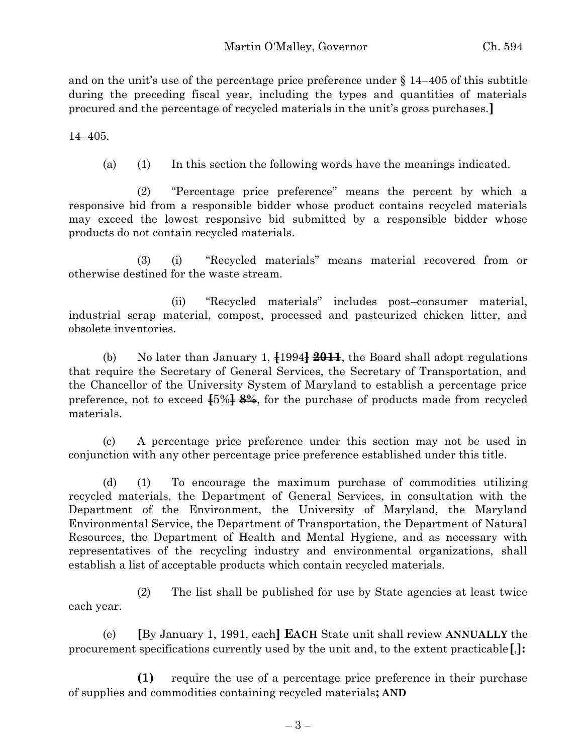and on the unit's use of the percentage price preference under  $\S 14-405$  of this subtitle during the preceding fiscal year, including the types and quantities of materials procured and the percentage of recycled materials in the unit's gross purchases.**]**

14–405.

(a) (1) In this section the following words have the meanings indicated.

(2) "Percentage price preference" means the percent by which a responsive bid from a responsible bidder whose product contains recycled materials may exceed the lowest responsive bid submitted by a responsible bidder whose products do not contain recycled materials.

(3) (i) "Recycled materials" means material recovered from or otherwise destined for the waste stream.

(ii) "Recycled materials" includes post–consumer material, industrial scrap material, compost, processed and pasteurized chicken litter, and obsolete inventories.

(b) No later than January 1, **[**1994**] 2011**, the Board shall adopt regulations that require the Secretary of General Services, the Secretary of Transportation, and the Chancellor of the University System of Maryland to establish a percentage price preference, not to exceed **[**5%**] 8%**, for the purchase of products made from recycled materials.

(c) A percentage price preference under this section may not be used in conjunction with any other percentage price preference established under this title.

(d) (1) To encourage the maximum purchase of commodities utilizing recycled materials, the Department of General Services, in consultation with the Department of the Environment, the University of Maryland, the Maryland Environmental Service, the Department of Transportation, the Department of Natural Resources, the Department of Health and Mental Hygiene, and as necessary with representatives of the recycling industry and environmental organizations, shall establish a list of acceptable products which contain recycled materials.

(2) The list shall be published for use by State agencies at least twice each year.

(e) **[**By January 1, 1991, each**] EACH** State unit shall review **ANNUALLY** the procurement specifications currently used by the unit and, to the extent practicable**[**,**]:**

**(1)** require the use of a percentage price preference in their purchase of supplies and commodities containing recycled materials**; AND**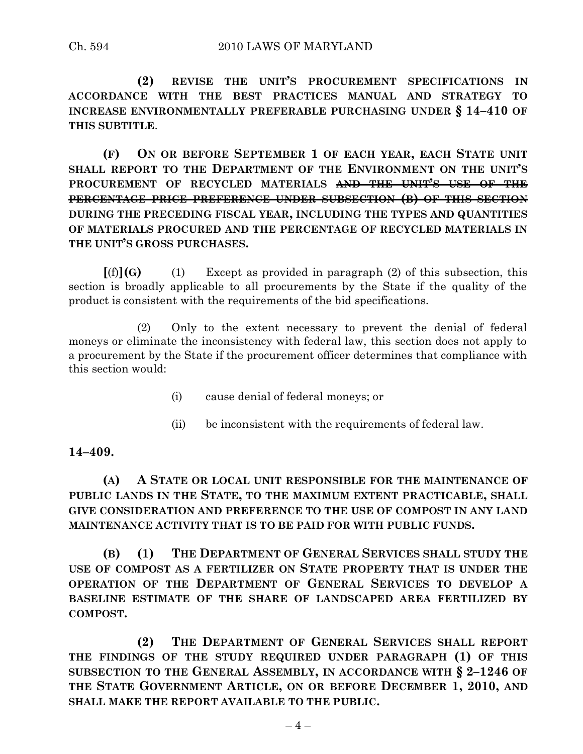**(2) REVISE THE UNIT'S PROCUREMENT SPECIFICATIONS IN ACCORDANCE WITH THE BEST PRACTICES MANUAL AND STRATEGY TO INCREASE ENVIRONMENTALLY PREFERABLE PURCHASING UNDER § 14–410 OF THIS SUBTITLE**.

**(F) ON OR BEFORE SEPTEMBER 1 OF EACH YEAR, EACH STATE UNIT SHALL REPORT TO THE DEPARTMENT OF THE ENVIRONMENT ON THE UNIT'S PROCUREMENT OF RECYCLED MATERIALS AND THE UNIT'S USE OF THE PERCENTAGE PRICE PREFERENCE UNDER SUBSECTION (B) OF THIS SECTION DURING THE PRECEDING FISCAL YEAR, INCLUDING THE TYPES AND QUANTITIES OF MATERIALS PROCURED AND THE PERCENTAGE OF RECYCLED MATERIALS IN THE UNIT'S GROSS PURCHASES.**

 $[(f)](G)$  (1) Except as provided in paragraph (2) of this subsection, this section is broadly applicable to all procurements by the State if the quality of the product is consistent with the requirements of the bid specifications.

(2) Only to the extent necessary to prevent the denial of federal moneys or eliminate the inconsistency with federal law, this section does not apply to a procurement by the State if the procurement officer determines that compliance with this section would:

- (i) cause denial of federal moneys; or
- (ii) be inconsistent with the requirements of federal law.

# **14–409.**

# **(A) A STATE OR LOCAL UNIT RESPONSIBLE FOR THE MAINTENANCE OF PUBLIC LANDS IN THE STATE, TO THE MAXIMUM EXTENT PRACTICABLE, SHALL GIVE CONSIDERATION AND PREFERENCE TO THE USE OF COMPOST IN ANY LAND MAINTENANCE ACTIVITY THAT IS TO BE PAID FOR WITH PUBLIC FUNDS.**

**(B) (1) THE DEPARTMENT OF GENERAL SERVICES SHALL STUDY THE USE OF COMPOST AS A FERTILIZER ON STATE PROPERTY THAT IS UNDER THE OPERATION OF THE DEPARTMENT OF GENERAL SERVICES TO DEVELOP A BASELINE ESTIMATE OF THE SHARE OF LANDSCAPED AREA FERTILIZED BY COMPOST.**

**(2) THE DEPARTMENT OF GENERAL SERVICES SHALL REPORT THE FINDINGS OF THE STUDY REQUIRED UNDER PARAGRAPH (1) OF THIS SUBSECTION TO THE GENERAL ASSEMBLY, IN ACCORDANCE WITH § 2–1246 OF THE STATE GOVERNMENT ARTICLE, ON OR BEFORE DECEMBER 1, 2010, AND SHALL MAKE THE REPORT AVAILABLE TO THE PUBLIC.**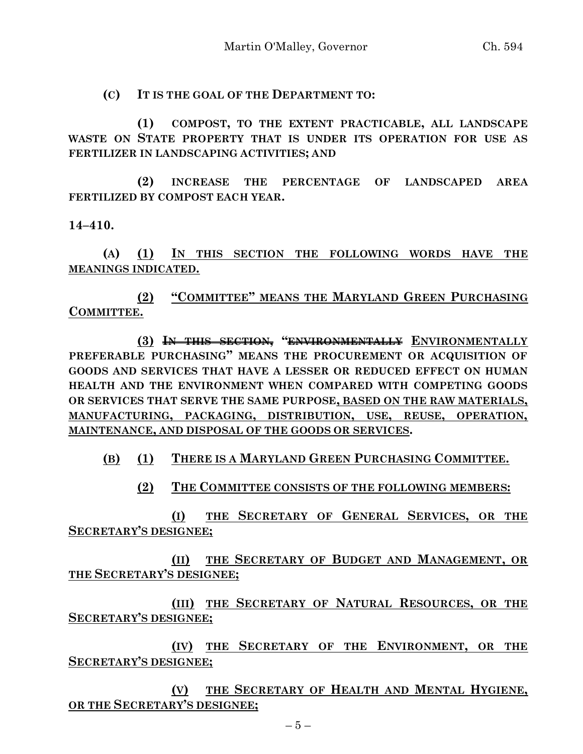**(C) IT IS THE GOAL OF THE DEPARTMENT TO:**

**(1) COMPOST, TO THE EXTENT PRACTICABLE, ALL LANDSCAPE WASTE ON STATE PROPERTY THAT IS UNDER ITS OPERATION FOR USE AS FERTILIZER IN LANDSCAPING ACTIVITIES; AND** 

**(2) INCREASE THE PERCENTAGE OF LANDSCAPED AREA FERTILIZED BY COMPOST EACH YEAR.**

**14–410.**

**(A) (1) IN THIS SECTION THE FOLLOWING WORDS HAVE THE MEANINGS INDICATED.**

**(2) "COMMITTEE" MEANS THE MARYLAND GREEN PURCHASING COMMITTEE.**

**(3) IN THIS SECTION, "ENVIRONMENTALLY ENVIRONMENTALLY PREFERABLE PURCHASING" MEANS THE PROCUREMENT OR ACQUISITION OF GOODS AND SERVICES THAT HAVE A LESSER OR REDUCED EFFECT ON HUMAN HEALTH AND THE ENVIRONMENT WHEN COMPARED WITH COMPETING GOODS OR SERVICES THAT SERVE THE SAME PURPOSE, BASED ON THE RAW MATERIALS, MANUFACTURING, PACKAGING, DISTRIBUTION, USE, REUSE, OPERATION, MAINTENANCE, AND DISPOSAL OF THE GOODS OR SERVICES.**

**(B) (1) THERE IS A MARYLAND GREEN PURCHASING COMMITTEE.**

**(2) THE COMMITTEE CONSISTS OF THE FOLLOWING MEMBERS:**

**(I) THE SECRETARY OF GENERAL SERVICES, OR THE SECRETARY'S DESIGNEE;**

**(II) THE SECRETARY OF BUDGET AND MANAGEMENT, OR THE SECRETARY'S DESIGNEE;**

**(III) THE SECRETARY OF NATURAL RESOURCES, OR THE SECRETARY'S DESIGNEE;**

**(IV) THE SECRETARY OF THE ENVIRONMENT, OR THE SECRETARY'S DESIGNEE;**

**(V) THE SECRETARY OF HEALTH AND MENTAL HYGIENE, OR THE SECRETARY'S DESIGNEE;**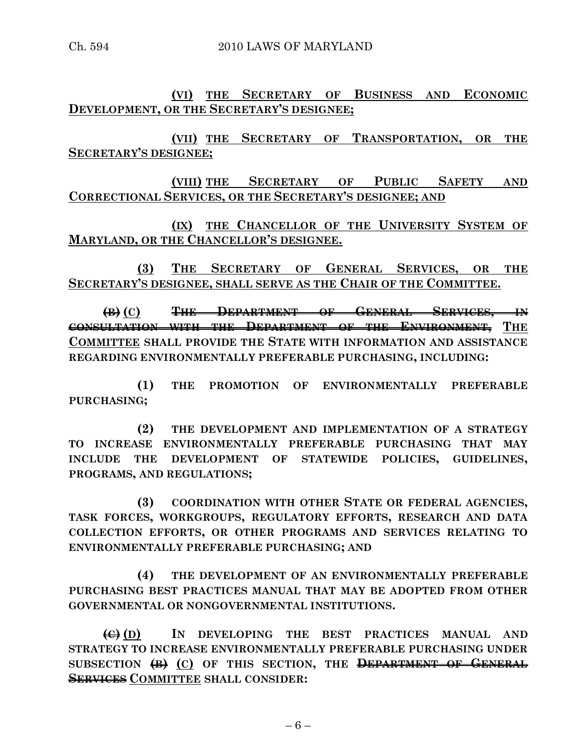**(VI) THE SECRETARY OF BUSINESS AND ECONOMIC DEVELOPMENT, OR THE SECRETARY'S DESIGNEE;**

**(VII) THE SECRETARY OF TRANSPORTATION, OR THE SECRETARY'S DESIGNEE;**

**(VIII) THE SECRETARY OF PUBLIC SAFETY AND CORRECTIONAL SERVICES, OR THE SECRETARY'S DESIGNEE; AND**

**(IX) THE CHANCELLOR OF THE UNIVERSITY SYSTEM OF MARYLAND, OR THE CHANCELLOR'S DESIGNEE.**

**(3) THE SECRETARY OF GENERAL SERVICES, OR THE SECRETARY'S DESIGNEE, SHALL SERVE AS THE CHAIR OF THE COMMITTEE.**

**(B) (C) THE DEPARTMENT OF GENERAL SERVICES, IN CONSULTATION WITH THE DEPARTMENT OF THE ENVIRONMENT, THE COMMITTEE SHALL PROVIDE THE STATE WITH INFORMATION AND ASSISTANCE REGARDING ENVIRONMENTALLY PREFERABLE PURCHASING, INCLUDING:**

**(1) THE PROMOTION OF ENVIRONMENTALLY PREFERABLE PURCHASING;**

**(2) THE DEVELOPMENT AND IMPLEMENTATION OF A STRATEGY TO INCREASE ENVIRONMENTALLY PREFERABLE PURCHASING THAT MAY INCLUDE THE DEVELOPMENT OF STATEWIDE POLICIES, GUIDELINES, PROGRAMS, AND REGULATIONS;**

**(3) COORDINATION WITH OTHER STATE OR FEDERAL AGENCIES, TASK FORCES, WORKGROUPS, REGULATORY EFFORTS, RESEARCH AND DATA COLLECTION EFFORTS, OR OTHER PROGRAMS AND SERVICES RELATING TO ENVIRONMENTALLY PREFERABLE PURCHASING; AND** 

**(4) THE DEVELOPMENT OF AN ENVIRONMENTALLY PREFERABLE PURCHASING BEST PRACTICES MANUAL THAT MAY BE ADOPTED FROM OTHER GOVERNMENTAL OR NONGOVERNMENTAL INSTITUTIONS.**

**(C) (D) IN DEVELOPING THE BEST PRACTICES MANUAL AND STRATEGY TO INCREASE ENVIRONMENTALLY PREFERABLE PURCHASING UNDER SUBSECTION (B) (C) OF THIS SECTION, THE DEPARTMENT OF GENERAL SERVICES COMMITTEE SHALL CONSIDER:**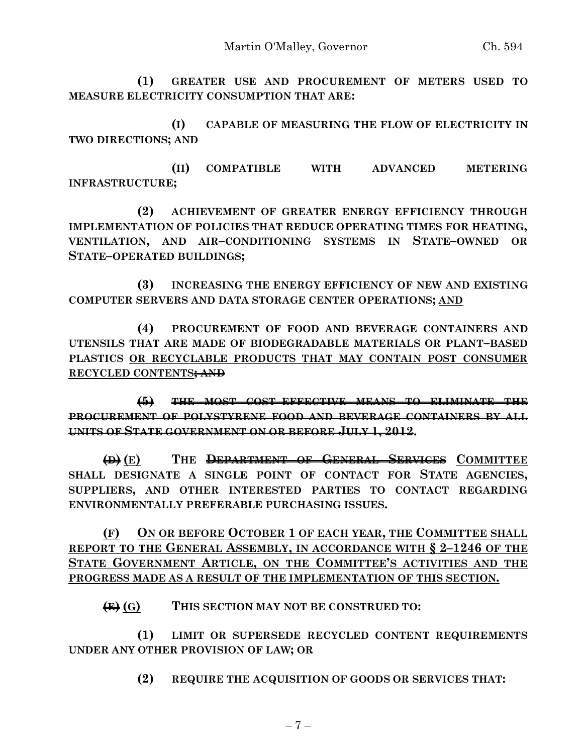**(1) GREATER USE AND PROCUREMENT OF METERS USED TO MEASURE ELECTRICITY CONSUMPTION THAT ARE:**

**(I) CAPABLE OF MEASURING THE FLOW OF ELECTRICITY IN TWO DIRECTIONS; AND**

**(II) COMPATIBLE WITH ADVANCED METERING INFRASTRUCTURE;**

**(2) ACHIEVEMENT OF GREATER ENERGY EFFICIENCY THROUGH IMPLEMENTATION OF POLICIES THAT REDUCE OPERATING TIMES FOR HEATING, VENTILATION, AND AIR–CONDITIONING SYSTEMS IN STATE–OWNED OR STATE–OPERATED BUILDINGS;**

**(3) INCREASING THE ENERGY EFFICIENCY OF NEW AND EXISTING COMPUTER SERVERS AND DATA STORAGE CENTER OPERATIONS; AND**

**(4) PROCUREMENT OF FOOD AND BEVERAGE CONTAINERS AND UTENSILS THAT ARE MADE OF BIODEGRADABLE MATERIALS OR PLANT–BASED PLASTICS OR RECYCLABLE PRODUCTS THAT MAY CONTAIN POST CONSUMER RECYCLED CONTENTS; AND**

**(5) THE MOST COST–EFFECTIVE MEANS TO ELIMINATE THE PROCUREMENT OF POLYSTYRENE FOOD AND BEVERAGE CONTAINERS BY ALL UNITS OF STATE GOVERNMENT ON OR BEFORE JULY 1, 2012.**

**(D) (E) THE DEPARTMENT OF GENERAL SERVICES COMMITTEE SHALL DESIGNATE A SINGLE POINT OF CONTACT FOR STATE AGENCIES, SUPPLIERS, AND OTHER INTERESTED PARTIES TO CONTACT REGARDING ENVIRONMENTALLY PREFERABLE PURCHASING ISSUES.**

**(F) ON OR BEFORE OCTOBER 1 OF EACH YEAR, THE COMMITTEE SHALL REPORT TO THE GENERAL ASSEMBLY, IN ACCORDANCE WITH § 2–1246 OF THE STATE GOVERNMENT ARTICLE, ON THE COMMITTEE'S ACTIVITIES AND THE PROGRESS MADE AS A RESULT OF THE IMPLEMENTATION OF THIS SECTION.**

**(E) (G) THIS SECTION MAY NOT BE CONSTRUED TO:**

**(1) LIMIT OR SUPERSEDE RECYCLED CONTENT REQUIREMENTS UNDER ANY OTHER PROVISION OF LAW; OR**

**(2) REQUIRE THE ACQUISITION OF GOODS OR SERVICES THAT:**